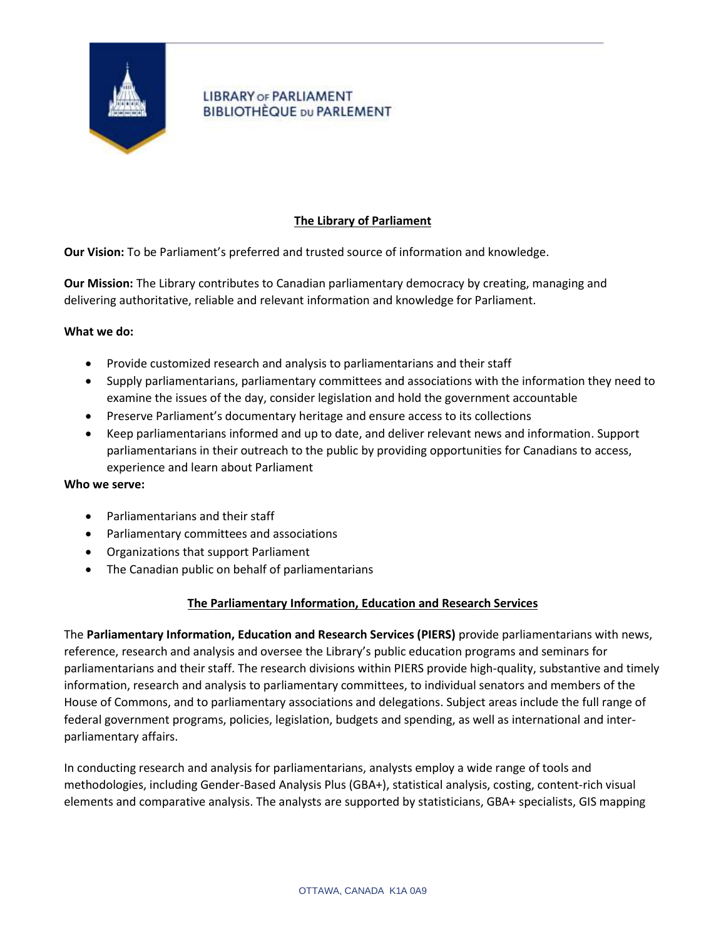

# **LIBRARY OF PARLIAMENT BIBLIOTHÈQUE DU PARLEMENT**

# **The Library of Parliament**

**Our Vision:** To be Parliament's preferred and trusted source of information and knowledge.

**Our Mission:** The Library contributes to Canadian parliamentary democracy by creating, managing and delivering authoritative, reliable and relevant information and knowledge for Parliament.

### **What we do:**

- Provide customized research and analysis to parliamentarians and their staff
- Supply parliamentarians, parliamentary committees and associations with the information they need to examine the issues of the day, consider legislation and hold the government accountable
- Preserve Parliament's documentary heritage and ensure access to its collections
- Keep parliamentarians informed and up to date, and deliver relevant news and information. Support parliamentarians in their outreach to the public by providing opportunities for Canadians to access, experience and learn about Parliament

### **Who we serve:**

- Parliamentarians and their staff
- Parliamentary committees and associations
- Organizations that support Parliament
- The Canadian public on behalf of parliamentarians

## **The Parliamentary Information, Education and Research Services**

The **Parliamentary Information, Education and Research Services (PIERS)** provide parliamentarians with news, reference, research and analysis and oversee the Library's public education programs and seminars for parliamentarians and their staff. The research divisions within PIERS provide high-quality, substantive and timely information, research and analysis to parliamentary committees, to individual senators and members of the House of Commons, and to parliamentary associations and delegations. Subject areas include the full range of federal government programs, policies, legislation, budgets and spending, as well as international and interparliamentary affairs.

In conducting research and analysis for parliamentarians, analysts employ a wide range of tools and methodologies, including Gender-Based Analysis Plus (GBA+), statistical analysis, costing, content-rich visual elements and comparative analysis. The analysts are supported by statisticians, GBA+ specialists, GIS mapping